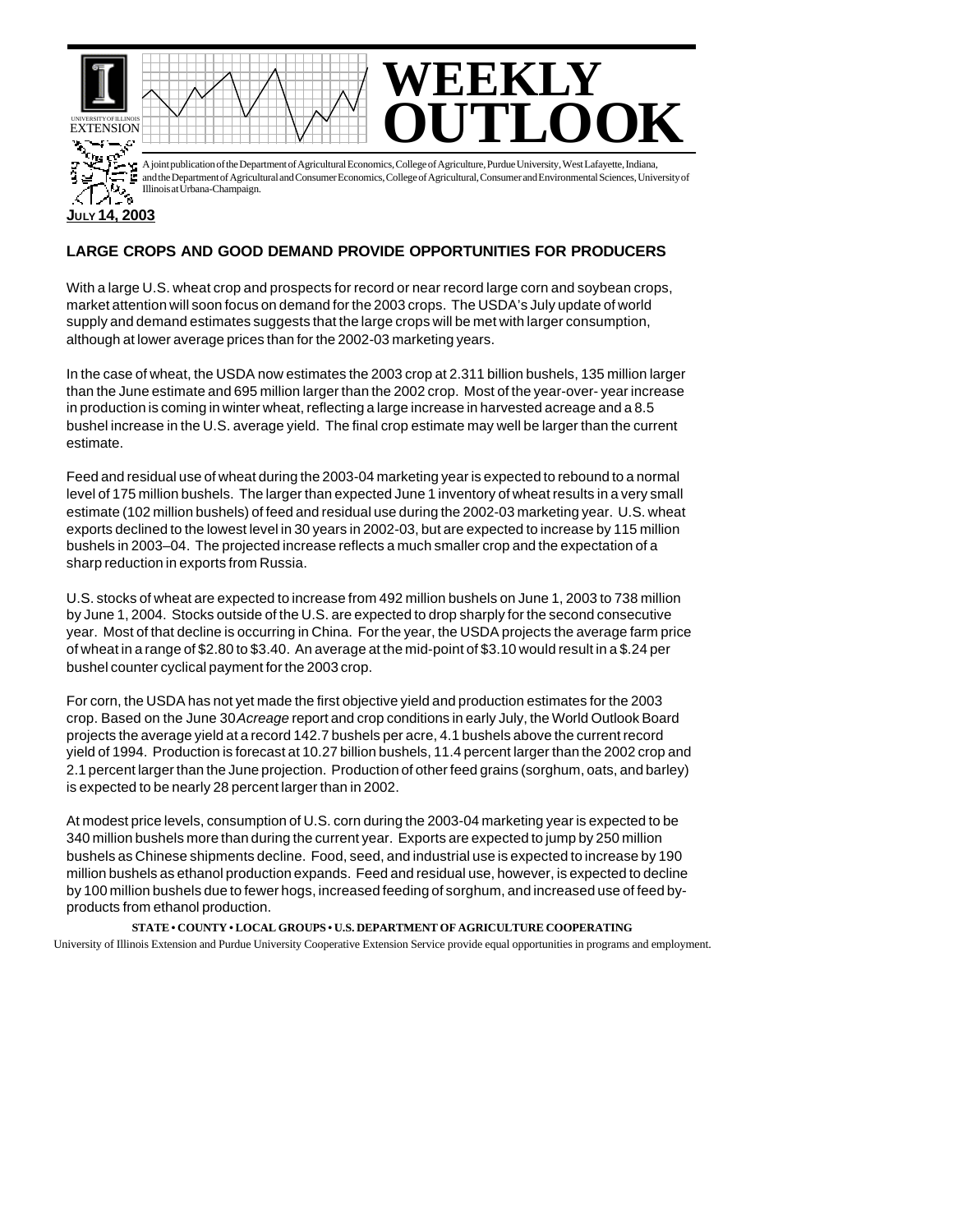

A joint publication of the Department of Agricultural Economics, College of Agriculture, Purdue University, West Lafayette, Indiana, and the Department of Agricultural and Consumer Economics, College of Agricultural, Consumer and Environmental Sciences, University of Illinois at Urbana-Champaign.

## **JULY 14, 2003**

## **LARGE CROPS AND GOOD DEMAND PROVIDE OPPORTUNITIES FOR PRODUCERS**

With a large U.S. wheat crop and prospects for record or near record large corn and soybean crops, market attention will soon focus on demand for the 2003 crops. The USDA's July update of world supply and demand estimates suggests that the large crops will be met with larger consumption, although at lower average prices than for the 2002-03 marketing years.

In the case of wheat, the USDA now estimates the 2003 crop at 2.311 billion bushels, 135 million larger than the June estimate and 695 million larger than the 2002 crop. Most of the year-over- year increase in production is coming in winter wheat, reflecting a large increase in harvested acreage and a 8.5 bushel increase in the U.S. average yield. The final crop estimate may well be larger than the current estimate.

Feed and residual use of wheat during the 2003-04 marketing year is expected to rebound to a normal level of 175 million bushels. The larger than expected June 1 inventory of wheat results in a very small estimate (102 million bushels) of feed and residual use during the 2002-03 marketing year. U.S. wheat exports declined to the lowest level in 30 years in 2002-03, but are expected to increase by 115 million bushels in 2003–04. The projected increase reflects a much smaller crop and the expectation of a sharp reduction in exports from Russia.

U.S. stocks of wheat are expected to increase from 492 million bushels on June 1, 2003 to 738 million by June 1, 2004. Stocks outside of the U.S. are expected to drop sharply for the second consecutive year. Most of that decline is occurring in China. For the year, the USDA projects the average farm price of wheat in a range of \$2.80 to \$3.40. An average at the mid-point of \$3.10 would result in a \$.24 per bushel counter cyclical payment for the 2003 crop.

For corn, the USDA has not yet made the first objective yield and production estimates for the 2003 crop. Based on the June 30 *Acreage* report and crop conditions in early July, the World Outlook Board projects the average yield at a record 142.7 bushels per acre, 4.1 bushels above the current record yield of 1994. Production is forecast at 10.27 billion bushels, 11.4 percent larger than the 2002 crop and 2.1 percent larger than the June projection. Production of other feed grains (sorghum, oats, and barley) is expected to be nearly 28 percent larger than in 2002.

At modest price levels, consumption of U.S. corn during the 2003-04 marketing year is expected to be 340 million bushels more than during the current year. Exports are expected to jump by 250 million bushels as Chinese shipments decline. Food, seed, and industrial use is expected to increase by 190 million bushels as ethanol production expands. Feed and residual use, however, is expected to decline by 100 million bushels due to fewer hogs, increased feeding of sorghum, and increased use of feed byproducts from ethanol production.

**STATE • COUNTY • LOCAL GROUPS • U.S. DEPARTMENT OF AGRICULTURE COOPERATING** University of Illinois Extension and Purdue University Cooperative Extension Service provide equal opportunities in programs and employment.